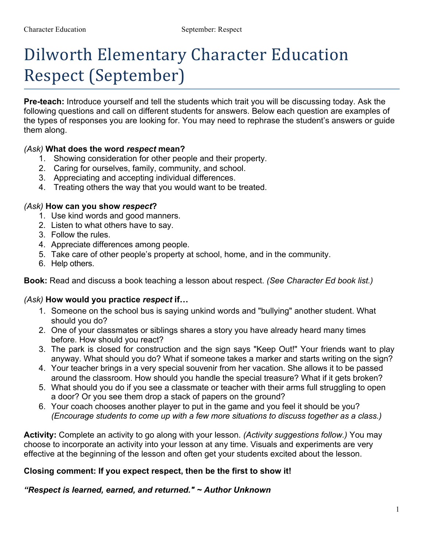# Dilworth Elementary Character Education Respect (September)

**Pre-teach:** Introduce yourself and tell the students which trait you will be discussing today. Ask the following questions and call on different students for answers. Below each question are examples of the types of responses you are looking for. You may need to rephrase the student's answers or guide them along.

### *(Ask)* **What does the word** *respect* **mean?**

- 1. Showing consideration for other people and their property.
- 2. Caring for ourselves, family, community, and school.
- 3. Appreciating and accepting individual differences.
- 4. Treating others the way that you would want to be treated.

#### *(Ask)* **How can you show** *respect***?**

- 1. Use kind words and good manners.
- 2. Listen to what others have to say.
- 3. Follow the rules.
- 4. Appreciate differences among people.
- 5. Take care of other people's property at school, home, and in the community.
- 6. Help others.

**Book:** Read and discuss a book teaching a lesson about respect. *(See Character Ed book list.)* 

### *(Ask)* **How would you practice** *respect* **if…**

- 1. Someone on the school bus is saying unkind words and "bullying" another student. What should you do?
- 2. One of your classmates or siblings shares a story you have already heard many times before. How should you react?
- 3. The park is closed for construction and the sign says "Keep Out!" Your friends want to play anyway. What should you do? What if someone takes a marker and starts writing on the sign?
- 4. Your teacher brings in a very special souvenir from her vacation. She allows it to be passed around the classroom. How should you handle the special treasure? What if it gets broken?
- 5. What should you do if you see a classmate or teacher with their arms full struggling to open a door? Or you see them drop a stack of papers on the ground?
- 6. Your coach chooses another player to put in the game and you feel it should be you? *(Encourage students to come up with a few more situations to discuss together as a class.)*

**Activity:** Complete an activity to go along with your lesson. *(Activity suggestions follow.)* You may choose to incorporate an activity into your lesson at any time. Visuals and experiments are very effective at the beginning of the lesson and often get your students excited about the lesson.

### **Closing comment: If you expect respect, then be the first to show it!**

*"Respect is learned, earned, and returned." ~ Author Unknown*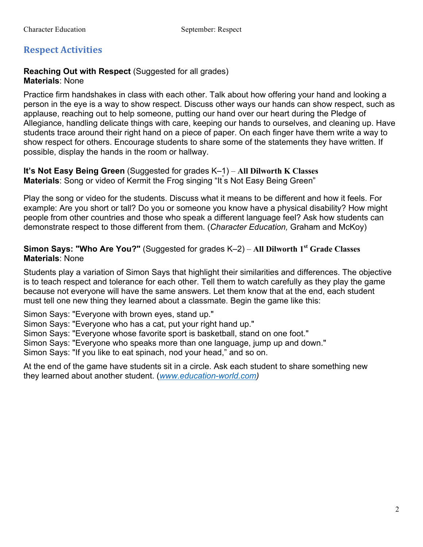## **Respect Activities**

### **Reaching Out with Respect** (Suggested for all grades) **Materials**: None

Practice firm handshakes in class with each other. Talk about how offering your hand and looking a person in the eye is a way to show respect. Discuss other ways our hands can show respect, such as applause, reaching out to help someone, putting our hand over our heart during the Pledge of Allegiance, handling delicate things with care, keeping our hands to ourselves, and cleaning up. Have students trace around their right hand on a piece of paper. On each finger have them write a way to show respect for others. Encourage students to share some of the statements they have written. If possible, display the hands in the room or hallway.

**It's Not Easy Being Green** (Suggested for grades K–1) – **All Dilworth K Classes**  Materials: Song or video of Kermit the Frog singing "It's Not Easy Being Green"

Play the song or video for the students. Discuss what it means to be different and how it feels. For example: Are you short or tall? Do you or someone you know have a physical disability? How might people from other countries and those who speak a different language feel? Ask how students can demonstrate respect to those different from them. (*Character Education,* Graham and McKoy)

## **Simon Says: "Who Are You?"** (Suggested for grades K–2) – **All Dilworth 1st Grade Classes Materials**: None

Students play a variation of Simon Says that highlight their similarities and differences. The objective is to teach respect and tolerance for each other. Tell them to watch carefully as they play the game because not everyone will have the same answers. Let them know that at the end, each student must tell one new thing they learned about a classmate. Begin the game like this:

Simon Says: "Everyone with brown eyes, stand up."

Simon Says: "Everyone who has a cat, put your right hand up."

Simon Says: "Everyone whose favorite sport is basketball, stand on one foot."

Simon Says: "Everyone who speaks more than one language, jump up and down."

Simon Says: "If you like to eat spinach, nod your head," and so on.

At the end of the game have students sit in a circle. Ask each student to share something new they learned about another student. (*www.education-world.com)*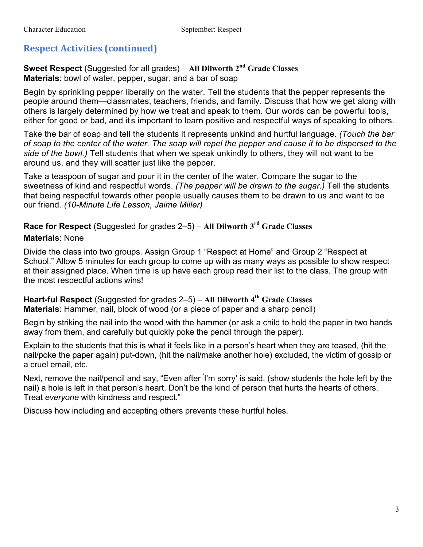# **Respect Activities (continued)**

**Sweet Respect** (Suggested for all grades) – **All Dilworth 2nd Grade Classes Materials**: bowl of water, pepper, sugar, and a bar of soap

Begin by sprinkling pepper liberally on the water. Tell the students that the pepper represents the people around them—classmates, teachers, friends, and family. Discuss that how we get along with others is largely determined by how we treat and speak to them. Our words can be powerful tools, either for good or bad, and it's important to learn positive and respectful ways of speaking to others.

Take the bar of soap and tell the students it represents unkind and hurtful language. *(Touch the bar of soap to the center of the water. The soap will repel the pepper and cause it to be dispersed to the side of the bowl.)* Tell students that when we speak unkindly to others, they will not want to be around us, and they will scatter just like the pepper.

Take a teaspoon of sugar and pour it in the center of the water. Compare the sugar to the sweetness of kind and respectful words. *(The pepper will be drawn to the sugar.)* Tell the students that being respectful towards other people usually causes them to be drawn to us and want to be our friend. *(10-Minute Life Lesson, Jaime Miller)*

**Race for Respect** (Suggested for grades 2–5) – **All Dilworth 3rd Grade Classes** 

## **Materials**: None

Divide the class into two groups. Assign Group 1 "Respect at Home" and Group 2 "Respect at School." Allow 5 minutes for each group to come up with as many ways as possible to show respect at their assigned place. When time is up have each group read their list to the class. The group with the most respectful actions wins!

**Heart-ful Respect** (Suggested for grades 2–5) – **All Dilworth 4th Grade Classes Materials**: Hammer, nail, block of wood (or a piece of paper and a sharp pencil)

Begin by striking the nail into the wood with the hammer (or ask a child to hold the paper in two hands away from them, and carefully but quickly poke the pencil through the paper).

Explain to the students that this is what it feels like in a person's heart when they are teased, (hit the nail/poke the paper again) put-down, (hit the nail/make another hole) excluded, the victim of gossip or a cruel email, etc.

Next, remove the nail/pencil and say, "Even after ' I'm sorry' is said, (show students the hole left by the nail) a hole is left in that person's heart. Don't be the kind of person that hurts the hearts of others. Treat *everyone* with kindness and respect."

Discuss how including and accepting others prevents these hurtful holes.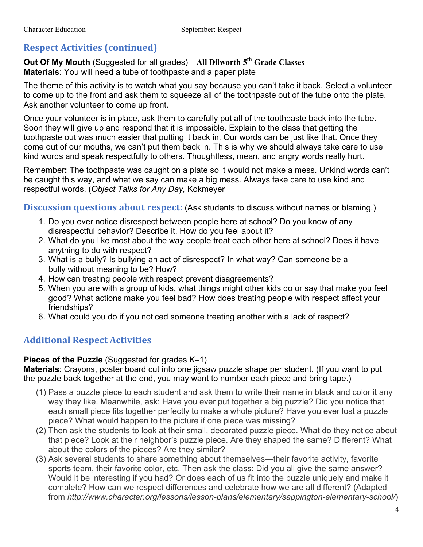## **Respect Activities (continued)**

## **Out Of My Mouth** (Suggested for all grades) – **All Dilworth 5th Grade Classes Materials**: You will need a tube of toothpaste and a paper plate

The theme of this activity is to watch what you say because you can't take it back. Select a volunteer to come up to the front and ask them to squeeze all of the toothpaste out of the tube onto the plate. Ask another volunteer to come up front.

Once your volunteer is in place, ask them to carefully put all of the toothpaste back into the tube. Soon they will give up and respond that it is impossible. Explain to the class that getting the toothpaste out was much easier that putting it back in. Our words can be just like that. Once they come out of our mouths, we can't put them back in. This is why we should always take care to use kind words and speak respectfully to others. Thoughtless, mean, and angry words really hurt.

Remember**:** The toothpaste was caught on a plate so it would not make a mess. Unkind words can't be caught this way, and what we say can make a big mess. Always take care to use kind and respectful words. (*Object Talks for Any Day,* Kokmeyer

**Discussion questions about respect:** (Ask students to discuss without names or blaming.)

- 1. Do you ever notice disrespect between people here at school? Do you know of any disrespectful behavior? Describe it. How do you feel about it?
- 2. What do you like most about the way people treat each other here at school? Does it have anything to do with respect?
- 3. What is a bully? Is bullying an act of disrespect? In what way? Can someone be a bully without meaning to be? How?
- 4. How can treating people with respect prevent disagreements?
- 5. When you are with a group of kids, what things might other kids do or say that make you feel good? What actions make you feel bad? How does treating people with respect affect your friendships?
- 6. What could you do if you noticed someone treating another with a lack of respect?

## **Additional Respect Activities**

### **Pieces of the Puzzle** (Suggested for grades K–1)

**Materials**: Crayons, poster board cut into one jigsaw puzzle shape per student. (If you want to put the puzzle back together at the end, you may want to number each piece and bring tape.)

- (1) Pass a puzzle piece to each student and ask them to write their name in black and color it any way they like. Meanwhile, ask: Have you ever put together a big puzzle? Did you notice that each small piece fits together perfectly to make a whole picture? Have you ever lost a puzzle piece? What would happen to the picture if one piece was missing?
- (2) Then ask the students to look at their small, decorated puzzle piece. What do they notice about that piece? Look at their neighbor's puzzle piece. Are they shaped the same? Different? What about the colors of the pieces? Are they similar?
- (3) Ask several students to share something about themselves—their favorite activity, favorite sports team, their favorite color, etc. Then ask the class: Did you all give the same answer? Would it be interesting if you had? Or does each of us fit into the puzzle uniquely and make it complete? How can we respect differences and celebrate how we are all different? (Adapted from *http://www.character.org/lessons/lesson-plans/elementary/sappington-elementary-school/*)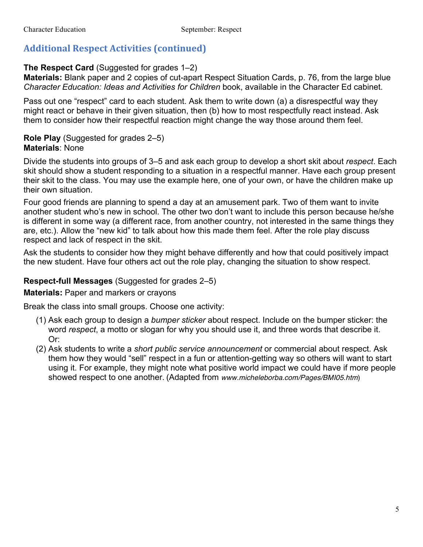# **Additional Respect Activities (continued)**

## **The Respect Card** (Suggested for grades 1–2)

**Materials:** Blank paper and 2 copies of cut-apart Respect Situation Cards, p. 76, from the large blue *Character Education: Ideas and Activities for Children* book, available in the Character Ed cabinet.

Pass out one "respect" card to each student. Ask them to write down (a) a disrespectful way they might react or behave in their given situation, then (b) how to most respectfully react instead. Ask them to consider how their respectful reaction might change the way those around them feel.

## **Role Play** (Suggested for grades 2–5) **Materials**: None

Divide the students into groups of 3–5 and ask each group to develop a short skit about *respect*. Each skit should show a student responding to a situation in a respectful manner. Have each group present their skit to the class. You may use the example here, one of your own, or have the children make up their own situation.

Four good friends are planning to spend a day at an amusement park. Two of them want to invite another student who's new in school. The other two don't want to include this person because he/she is different in some way (a different race, from another country, not interested in the same things they are, etc.). Allow the "new kid" to talk about how this made them feel. After the role play discuss respect and lack of respect in the skit.

Ask the students to consider how they might behave differently and how that could positively impact the new student. Have four others act out the role play, changing the situation to show respect.

## **Respect-full Messages** (Suggested for grades 2–5)

## **Materials:** Paper and markers or crayons

Break the class into small groups. Choose one activity:

- (1) Ask each group to design a *bumper sticker* about respect. Include on the bumper sticker: the word *respect*, a motto or slogan for why you should use it, and three words that describe it. Or:
- (2) Ask students to write a *short public service announcement* or commercial about respect. Ask them how they would "sell" respect in a fun or attention-getting way so others will want to start using it. For example, they might note what positive world impact we could have if more people showed respect to one another. (Adapted from *www.micheleborba.com/Pages/BMI05.htm*)